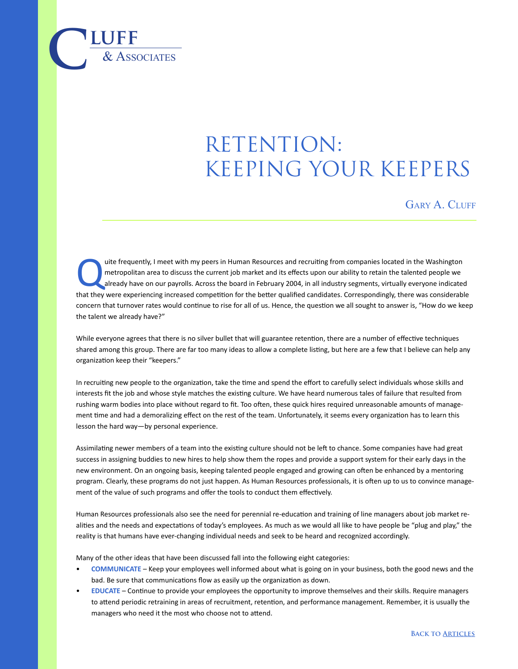## RETENTION: keeping your keepers

GARY A. CLUFF

uite frequently, I meet with my peers in Human Resources and recruiting from companies located in the Washington<br>metropolitan area to discuss the current job market and its effects upon our ability to retain the talented p metropolitan area to discuss the current job market and its effects upon our ability to retain the talented people we that they were experiencing increased competition for the better qualified candidates. Correspondingly, there was considerable concern that turnover rates would continue to rise for all of us. Hence, the question we all sought to answer is, "How do we keep the talent we already have?"

While everyone agrees that there is no silver bullet that will guarantee retention, there are a number of effective techniques shared among this group. There are far too many ideas to allow a complete listing, but here are a few that I believe can help any organization keep their "keepers."

In recruiting new people to the organization, take the time and spend the effort to carefully select individuals whose skills and interests fit the job and whose style matches the existing culture. We have heard numerous tales of failure that resulted from rushing warm bodies into place without regard to fit. Too often, these quick hires required unreasonable amounts of management time and had a demoralizing effect on the rest of the team. Unfortunately, it seems every organization has to learn this lesson the hard way—by personal experience.

Assimilating newer members of a team into the existing culture should not be left to chance. Some companies have had great success in assigning buddies to new hires to help show them the ropes and provide a support system for their early days in the new environment. On an ongoing basis, keeping talented people engaged and growing can often be enhanced by a mentoring program. Clearly, these programs do not just happen. As Human Resources professionals, it is often up to us to convince management of the value of such programs and offer the tools to conduct them effectively.

Human Resources professionals also see the need for perennial re-education and training of line managers about job market realities and the needs and expectations of today's employees. As much as we would all like to have people be "plug and play," the reality is that humans have ever-changing individual needs and seek to be heard and recognized accordingly.

Many of the other ideas that have been discussed fall into the following eight categories:

 $\overline{\text{LUFF}}$  **luff** 

- **COMMUNICATE** Keep your employees well informed about what is going on in your business, both the good news and the bad. Be sure that communications flow as easily up the organization as down.
- **EDUCATE** Continue to provide your employees the opportunity to improve themselves and their skills. Require managers to attend periodic retraining in areas of recruitment, retention, and performance management. Remember, it is usually the managers who need it the most who choose not to attend.